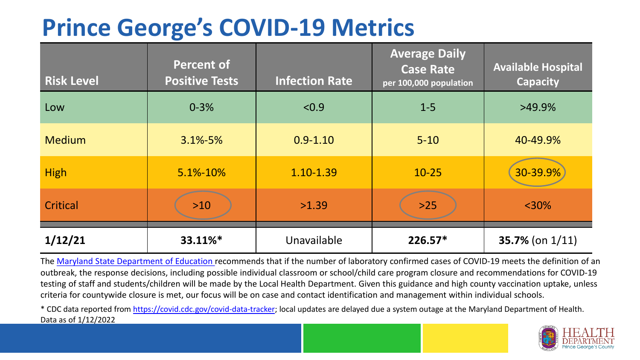## **Prince George's COVID-19 Metrics**

| <b>Risk Level</b> | <b>Percent of</b><br><b>Positive Tests</b> | <b>Infection Rate</b> | <b>Average Daily</b><br><b>Case Rate</b><br>per 100,000 population | <b>Available Hospital</b><br><b>Capacity</b> |
|-------------------|--------------------------------------------|-----------------------|--------------------------------------------------------------------|----------------------------------------------|
| Low               | $0 - 3%$                                   | < 0.9                 | $1 - 5$                                                            | $>49.9\%$                                    |
| <b>Medium</b>     | $3.1\% - 5\%$                              | $0.9 - 1.10$          | $5 - 10$                                                           | 40-49.9%                                     |
| <b>High</b>       | 5.1%-10%                                   | 1.10-1.39             | $10 - 25$                                                          | 30-39.9%                                     |
| Critical          | $>10$                                      | >1.39                 | $>25$                                                              | $<$ 30%                                      |
| 1/12/21           | 33.11%*                                    | Unavailable           | $226.57*$                                                          | 35.7% (on 1/11)                              |

The [Maryland State Department of Education](https://earlychildhood.marylandpublicschools.org/system/files/filedepot/3/covid_guidance_full_080420.pdf) recommends that if the number of laboratory confirmed cases of COVID-19 meets the definition of an outbreak, the response decisions, including possible individual classroom or school/child care program closure and recommendations for COVID-19 testing of staff and students/children will be made by the Local Health Department. Given this guidance and high county vaccination uptake, unless criteria for countywide closure is met, our focus will be on case and contact identification and management within individual schools.

\* CDC data reported from <https://covid.cdc.gov/covid-data-tracker>; local updates are delayed due a system outage at the Maryland Department of Health. Data as of 1/12/2022

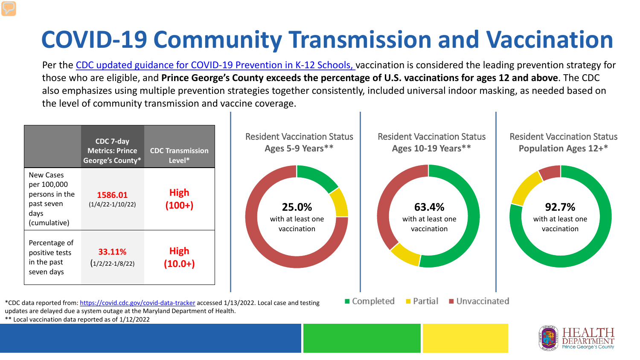## **COVID-19 Community Transmission and Vaccination**

Per the [CDC updated guidance for COVID-19 Prevention in K-12 Schools,](https://www.cdc.gov/coronavirus/2019-ncov/community/schools-childcare/k-12-guidance.html) vaccination is considered the leading prevention strategy for those who are eligible, and **Prince George's County exceeds the percentage of U.S. vaccinations for ages 12 and above**. The CDC also emphasizes using multiple prevention strategies together consistently, included universal indoor masking, as needed based on the level of community transmission and vaccine coverage.



\*\* Local vaccination data reported as of 1/12/2022